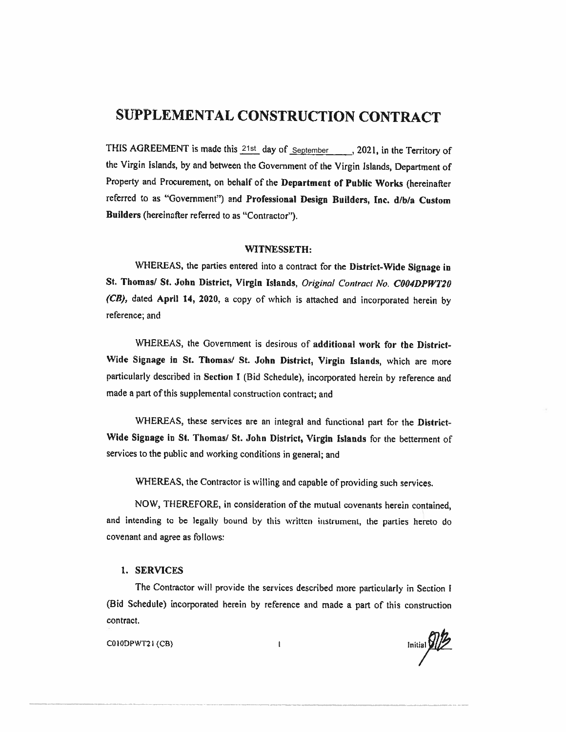# SUPPLEMENTAL CONSTRUCTION CONTRACT

THIS AGREEMENT is made this  $\frac{21st}{s}$  day of  $\frac{September}{s}$ , 2021, in the Territory of the Virgin islands, by and between the Government of the Virgin Islands, Department of Property and Procurement, on behalf of the Department of Public Works (hereinafter referred to as "Government") and Professional Design Builders, Inc. d/b/a Custom Builders (hereinafter referred to as "Contractor"),

#### WITNESSETH:

WHEREAS, the parties entered into a contract for the District-Wide Signage in St. Thomas/ St. John District, Virgin Islands, Original Contract No. C004DPWT20 (CB), dated April 14, 2020, a copy of which is attached and incorporated herein by reference; and

WHEREAS, the Government is desirous of additional work for the District-Wide Signage in St. Thomas/ St. John District, Virgin Islands, which are more particularly described in Section <sup>1</sup> (Bid Schedule), incorporated herein by reference and made <sup>a</sup> part of this supplemental construction contract; and

WHEREAS, these services are an integral and functional part for the District-Wide Signage in St. Thomas/ St. John District, Virgin Islands for the betterment of services to the public and working conditions in general; and

WHEREAS, the Contractor is willing and capable of providing such services.

NOW, THEREFORE, in consideration of the mutual covenants herein contained, and intending to be legally bound by this written instrument, the panies hereto do covenant and agree as follows:

#### 1. SERVICES

The Contractor will provide the services described more particularly in Section <sup>I</sup> (Bid Schedule) incorporated herein by reference and made <sup>a</sup> pan of this construction contract.

COIODPWT2 (CB

 $\begin{picture}(22,10) \put(0,0){\line(1,0){10}} \put(15,0){\line(1,0){10}} \put(15,0){\line(1,0){10}} \put(15,0){\line(1,0){10}} \put(15,0){\line(1,0){10}} \put(15,0){\line(1,0){10}} \put(15,0){\line(1,0){10}} \put(15,0){\line(1,0){10}} \put(15,0){\line(1,0){10}} \put(15,0){\line(1,0){10}} \put(15,0){\line(1,0){10}} \put(15,0){\line(1$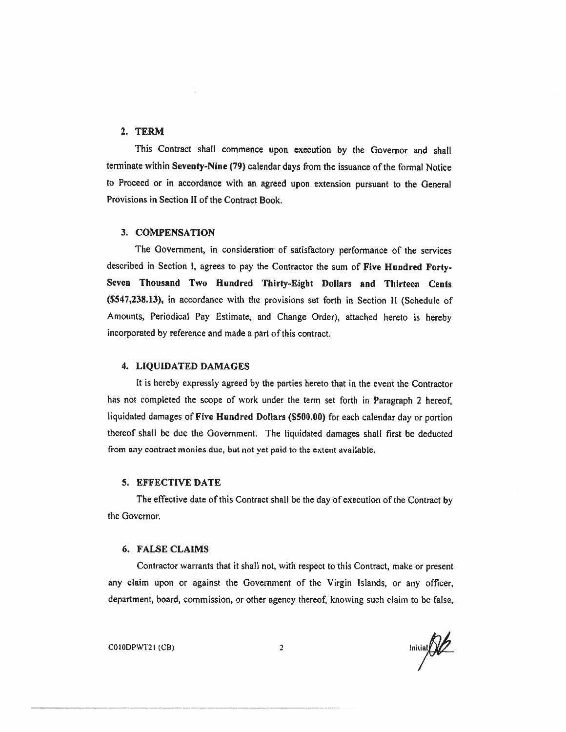### 2. TERM

This Contract shall commence upon execution by the Governor and shall terminate within Seventy-Nine (79) calendar days from the issuance of the formal Notice to Proceed or in accordance with an agreed upon extension pursuant to the General Provisions in Section <sup>11</sup> of the Contract Book.

#### 3. COMPENSATION

The Government, in consideration of satisfactory performance of the services described in Section 1, agrees to pay the Contractor the sum of Five Hundred Forty-Seven Thousand Two Hundred Thirty-Eight Dollars and Thirteen Cents (\$547,238.13), in accordance with the provisions set forth in Section <sup>11</sup> (Schedule of Amounts, Periodical Pay Estimate, and Change Order), attached hereto is hereby incorporated by reference and made a part of this contract.

#### 4. LIQUIDATED DAMAGES

It is hereby expressly agreed by the parties hereto that in the event the Contractor has not completed the scope of work under the term set forth in Paragraph 2 hereof, liquidated damages of Five Hundred Dollars (\$500.00) for each calendar day or portion thereof shall be due the Government. The liquidated damages shall first be deducted from any contract monies due, but not yet paid to the extent available.

#### 5. EFFECTIVE DATE

The effective date of this Contract shall be the day of execution of the Contract by the Governor.

#### 6. FALSE CLAIMS

Contractor warrants that it shall not, with respect to this Contract, make or present any claim upon or against the Government of the Virgin Islands, or any officer, department, board. commission, or other agency thereof, knowing such claim to be false,

COIODPWT21 (CB) 2 lniiial $\bigotimes$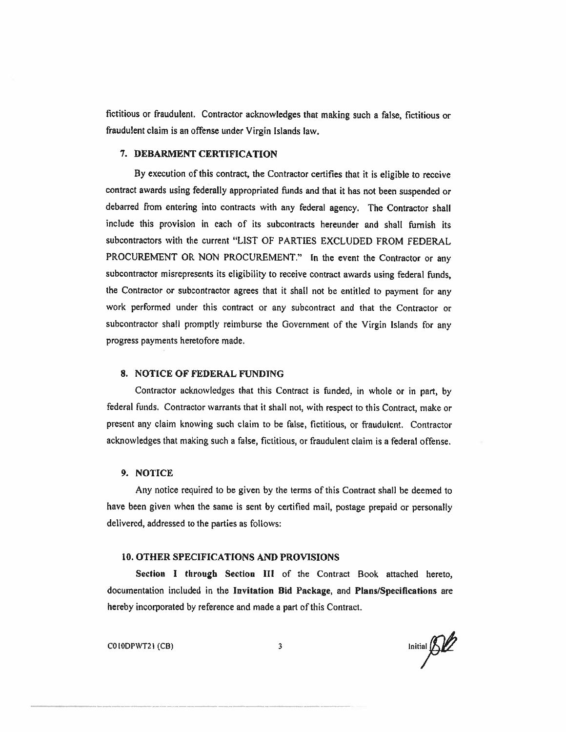fictitious or fraudulent. Contractor acknowledges that making such a false, fictitious or fraudulent claim is an offense under Virgin Islands law.

### 7. DEBARMENT CERTIFICATION

By execution of this contract, the Contractor certifies that it is eligible to receive contract awards using federally appropriated funds and that it has not been suspended or debarred from entering into contracts with any federal agency. The Contractor shall include this provision in each of its subcontracts hereunder and shall furnish its subcontractors with the current "LIST OF PARTIES EXCLUDED FROM FEDERAL PROCUREMENT OR NON PROCUREMENT." In the event the Contractor or any subcontractor misrepresents its eligibility to receive contract awards using federal funds, the Contractor or subcontractor agrees that it shall not be entitled to payment for any work performed under this contract or any subcontract and that the Contractor or subcontractor shall promptly reimburse the Government of the Virgin Islands for any progress payments heretofore made.

#### 8. NOTICE OF FEDERAL FUNDING

Contractor acknowledges that this Contract is funded, in whole or in part, by federal funds. Contractor warrants that it shall not, with respect to this Contract, make or present any claim knowing such claim to be false, fictitious, or fraudulent. Contractor acknowledges that making such a false, fictitious, or fraudulent claim is a federal offense.

### 9. NOTICE

Any notice required to be given by the terms of this Contract shall be deemed to have been given when the same is sent by certified mail, postage prepaid or personally delivered, addressed to the parties as follows:

#### 10. OTHER SPECIFICATIONS AND PROVISIONS

Section I through Section III of the Contract Book attached hereto, documentation included in the Invitation Bid Package, and Plans/Specifications are hereby incorporated by reference and made <sup>a</sup> part of this Contract.

 $\bigcirc$  CO[ODPWT2] (CB) 3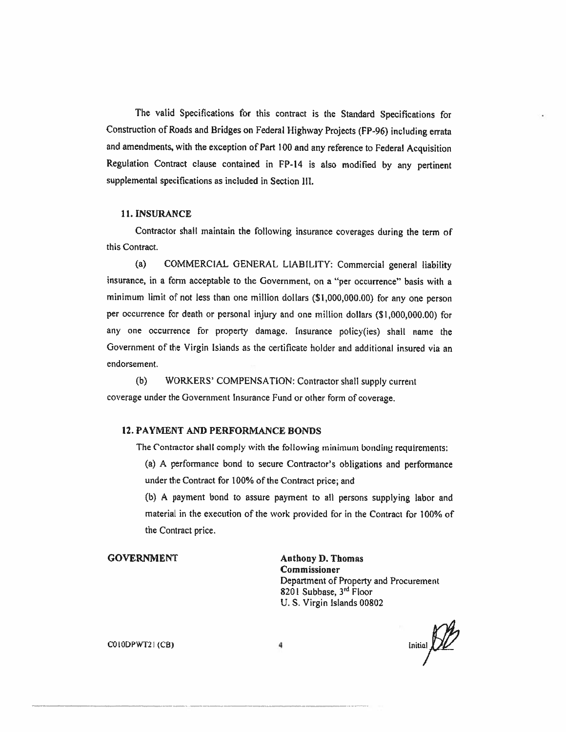The valid Specifications for this contract is the Standard Specifications for Construction of Roads and Bridges on Federal Highway Projects (FP-96) including errata and amendments, with the exception of Part <sup>100</sup> and any reference to Federal Acquisition Regulation Contract clause contained in FP-14 is also modified by any pertinent supplemental specifications as included in Section III.

#### 11. INSURANCE

Contractor shall maintain the following insurance coverages during the term of this Contract.

(a) COMMERCIAL GENERAL LIABILITY: Commercial general liability insurance, in <sup>a</sup> form acceptable to the Government, on <sup>a</sup> "per occurrence" basis with <sup>a</sup> minimum limit of not less than one million dollars (5 1,000,000.00) for any one person per occurrence for death or personal injury and one million dollars (\$1,000,000.00) for any one occurrence for property damage. Insurance policy(ies) shall name the Government of the Virgin Islands as the certificate holder and additional insured via an endorsement.

(b) WORKERS' COMPENSATION: Contractor shall supply current coverage under the Government Insurance Fund or other form of coverage.

#### 12. PAYMENT AND PERFORMANCE BONDS

The Contractor shall comply with the following minimum bonding requirements:

(a) <sup>A</sup> performance bond to secure Contractor's obligations and performance under the Contract for 100% of the Contract price; and

(b) <sup>A</sup> payment bond to assure payment to all persons supplying labor and material in the execution of the work provided for in the Contract for 100% of the Contract price.

GOVERNMENT Anthony D. Thomas Commissioner Department of Property and Procurement <sup>8201</sup> Subbase, 3rd Floor U.S. Virgin Islands 00802

 $\begin{picture}(22,14) \put(0,0){\line(1,0){155}} \put(15,0){\line(1,0){155}} \put(15,0){\line(1,0){155}} \put(15,0){\line(1,0){155}} \put(15,0){\line(1,0){155}} \put(15,0){\line(1,0){155}} \put(15,0){\line(1,0){155}} \put(15,0){\line(1,0){155}} \put(15,0){\line(1,0){155}} \put(15,0){\line(1,0){155}} \put(15,0){\line(1,0){155}} \$ 

COIODPWT2 I (CB) 4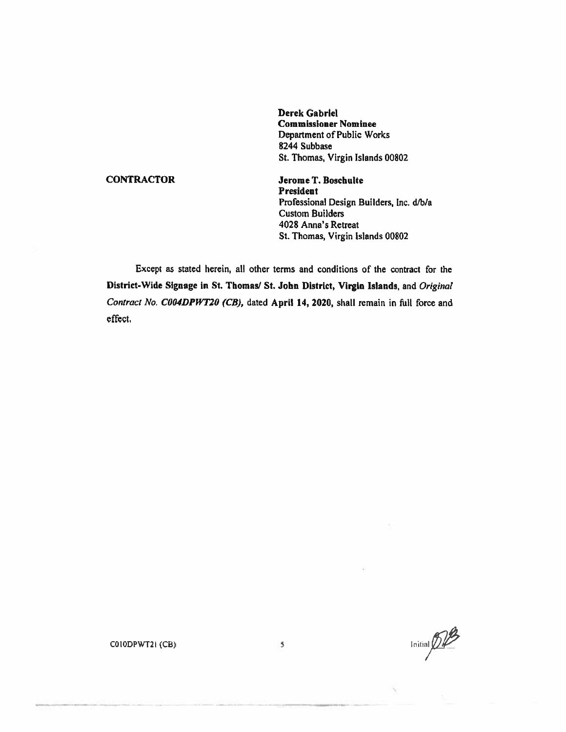Derek Gabriel Commissioner Nominee Department of Public Works 8244 Subbase St. Thomas, Virgin Islands 00802

CONTRACTOR JeromeT. Bosehulte President Professional Design Builders, Inc. d/b/a Custom Builders 4028 Anna's Retreat St. Thomas, Virgin Islands 00802

Except as stated herein, all other terms and conditions of the contract for the District-Wide Siguage in St. Thomas? St. John District, Virgin Islands, and Original Contract No. C004DPWT20 (CB), dated April 14, 2020, shall remain in full force and effect.

Initial  $\widehat{\mathcal{D}}\widehat{\mathcal{L}}$ 

COIODPWT2I (CB) <sup>5</sup>